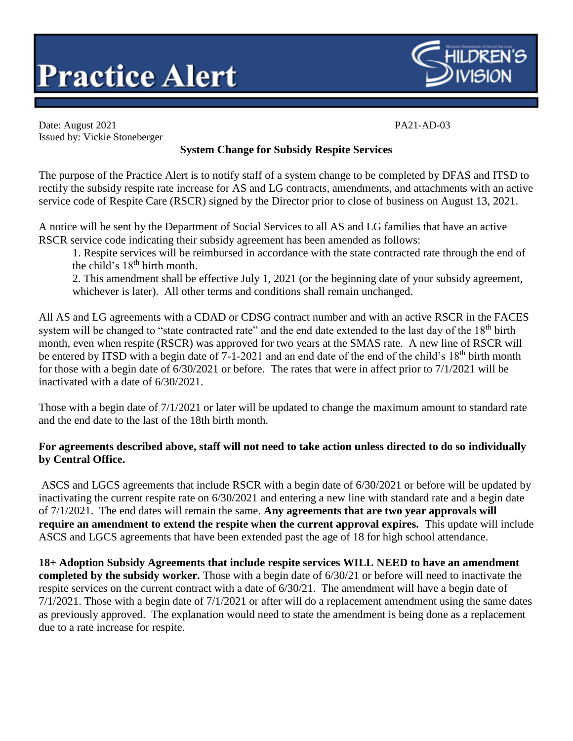



Date: August 2021 PA21-AD-03 Issued by: Vickie Stoneberger

## **System Change for Subsidy Respite Services**

The purpose of the Practice Alert is to notify staff of a system change to be completed by DFAS and ITSD to rectify the subsidy respite rate increase for AS and LG contracts, amendments, and attachments with an active service code of Respite Care (RSCR) signed by the Director prior to close of business on August 13, 2021.

A notice will be sent by the Department of Social Services to all AS and LG families that have an active RSCR service code indicating their subsidy agreement has been amended as follows:

1. Respite services will be reimbursed in accordance with the state contracted rate through the end of the child's 18<sup>th</sup> birth month.

2. This amendment shall be effective July 1, 2021 (or the beginning date of your subsidy agreement, whichever is later). All other terms and conditions shall remain unchanged.

All AS and LG agreements with a CDAD or CDSG contract number and with an active RSCR in the FACES system will be changed to "state contracted rate" and the end date extended to the last day of the 18<sup>th</sup> birth month, even when respite (RSCR) was approved for two years at the SMAS rate. A new line of RSCR will be entered by ITSD with a begin date of 7-1-2021 and an end date of the end of the child's 18<sup>th</sup> birth month for those with a begin date of 6/30/2021 or before. The rates that were in affect prior to 7/1/2021 will be inactivated with a date of 6/30/2021.

Those with a begin date of 7/1/2021 or later will be updated to change the maximum amount to standard rate and the end date to the last of the 18th birth month.

## **For agreements described above, staff will not need to take action unless directed to do so individually by Central Office.**

ASCS and LGCS agreements that include RSCR with a begin date of 6/30/2021 or before will be updated by inactivating the current respite rate on 6/30/2021 and entering a new line with standard rate and a begin date of 7/1/2021. The end dates will remain the same. **Any agreements that are two year approvals will require an amendment to extend the respite when the current approval expires.** This update will include ASCS and LGCS agreements that have been extended past the age of 18 for high school attendance.

**18+ Adoption Subsidy Agreements that include respite services WILL NEED to have an amendment completed by the subsidy worker.** Those with a begin date of 6/30/21 or before will need to inactivate the respite services on the current contract with a date of 6/30/21. The amendment will have a begin date of 7/1/2021. Those with a begin date of 7/1/2021 or after will do a replacement amendment using the same dates as previously approved. The explanation would need to state the amendment is being done as a replacement due to a rate increase for respite.